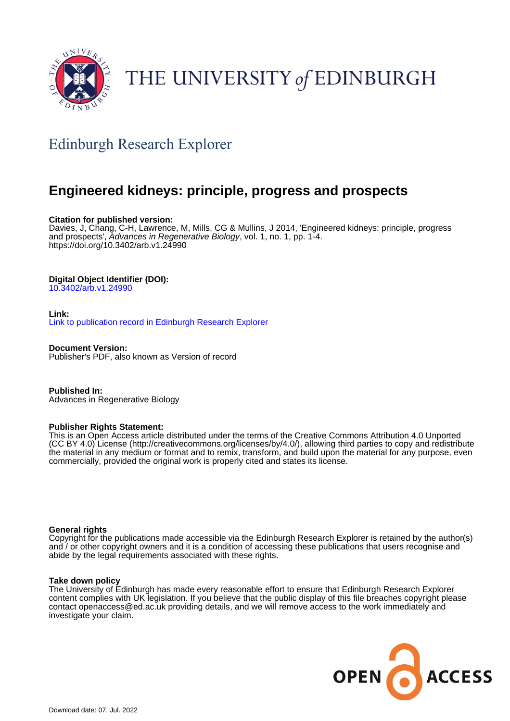

# THE UNIVERSITY of EDINBURGH

## Edinburgh Research Explorer

### **Engineered kidneys: principle, progress and prospects**

#### **Citation for published version:**

Davies, J, Chang, C-H, Lawrence, M, Mills, CG & Mullins, J 2014, 'Engineered kidneys: principle, progress and prospects', Advances in Regenerative Biology, vol. 1, no. 1, pp. 1-4. <https://doi.org/10.3402/arb.v1.24990>

#### **Digital Object Identifier (DOI):**

[10.3402/arb.v1.24990](https://doi.org/10.3402/arb.v1.24990)

#### **Link:** [Link to publication record in Edinburgh Research Explorer](https://www.research.ed.ac.uk/en/publications/0c32f6ff-d528-473e-8f93-cdc5c43ee5c3)

**Document Version:** Publisher's PDF, also known as Version of record

**Published In:** Advances in Regenerative Biology

#### **Publisher Rights Statement:**

This is an Open Access article distributed under the terms of the Creative Commons Attribution 4.0 Unported (CC BY 4.0) License (http://creativecommons.org/licenses/by/4.0/), allowing third parties to copy and redistribute the material in any medium or format and to remix, transform, and build upon the material for any purpose, even commercially, provided the original work is properly cited and states its license.

#### **General rights**

Copyright for the publications made accessible via the Edinburgh Research Explorer is retained by the author(s) and / or other copyright owners and it is a condition of accessing these publications that users recognise and abide by the legal requirements associated with these rights.

#### **Take down policy**

The University of Edinburgh has made every reasonable effort to ensure that Edinburgh Research Explorer content complies with UK legislation. If you believe that the public display of this file breaches copyright please contact openaccess@ed.ac.uk providing details, and we will remove access to the work immediately and investigate your claim.

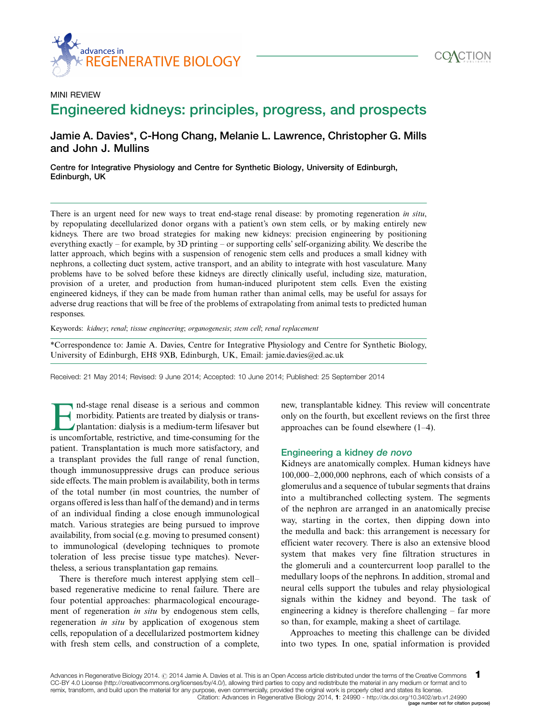



### MINI REVIEW Engineered kidneys: principles, progress, and prospects

#### Jamie A. Davies\*, C-Hong Chang, Melanie L. Lawrence, Christopher G. Mills and John J. Mullins

Centre for Integrative Physiology and Centre for Synthetic Biology, University of Edinburgh, Edinburgh, UK

There is an urgent need for new ways to treat end-stage renal disease: by promoting regeneration in situ, by repopulating decellularized donor organs with a patient's own stem cells, or by making entirely new kidneys. There are two broad strategies for making new kidneys: precision engineering by positioning everything exactly - for example, by 3D printing - or supporting cells' self-organizing ability. We describe the latter approach, which begins with a suspension of renogenic stem cells and produces a small kidney with nephrons, a collecting duct system, active transport, and an ability to integrate with host vasculature. Many problems have to be solved before these kidneys are directly clinically useful, including size, maturation, provision of a ureter, and production from human-induced pluripotent stem cells. Even the existing engineered kidneys, if they can be made from human rather than animal cells, may be useful for assays for adverse drug reactions that will be free of the problems of extrapolating from animal tests to predicted human responses.

Keywords: kidney; renal; tissue engineering; organogenesis; stem cell; renal replacement

\*Correspondence to: Jamie A. Davies, Centre for Integrative Physiology and Centre for Synthetic Biology, University of Edinburgh, EH8 9XB, Edinburgh, UK, Email: jamie.davies@ed.ac.uk

Received: 21 May 2014; Revised: 9 June 2014; Accepted: 10 June 2014; Published: 25 September 2014

Ind-stage renal disease is a serious and common<br>morbidity. Patients are treated by dialysis or trans-<br>plantation: dialysis is a medium-term lifesaver but<br>is uncomfortable restrictive and time-consuming for the morbidity. Patients are treated by dialysis or transplantation: dialysis is a medium-term lifesaver but is uncomfortable, restrictive, and time-consuming for the patient. Transplantation is much more satisfactory, and a transplant provides the full range of renal function, though immunosuppressive drugs can produce serious side effects. The main problem is availability, both in terms of the total number (in most countries, the number of organs offered is less than half of the demand) and in terms of an individual finding a close enough immunological match. Various strategies are being pursued to improve availability, from social (e.g. moving to presumed consent) to immunological (developing techniques to promote toleration of less precise tissue type matches). Nevertheless, a serious transplantation gap remains.

There is therefore much interest applying stem cell based regenerative medicine to renal failure. There are four potential approaches: pharmacological encouragement of regeneration in situ by endogenous stem cells, regeneration in situ by application of exogenous stem cells, repopulation of a decellularized postmortem kidney with fresh stem cells, and construction of a complete, new, transplantable kidney. This review will concentrate only on the fourth, but excellent reviews on the first three approaches can be found elsewhere (1-4).

#### Engineering a kidney de novo

Kidneys are anatomically complex. Human kidneys have 100,000-2,000,000 nephrons, each of which consists of a glomerulus and a sequence of tubular segments that drains into a multibranched collecting system. The segments of the nephron are arranged in an anatomically precise way, starting in the cortex, then dipping down into the medulla and back: this arrangement is necessary for efficient water recovery. There is also an extensive blood system that makes very fine filtration structures in the glomeruli and a countercurrent loop parallel to the medullary loops of the nephrons. In addition, stromal and neural cells support the tubules and relay physiological signals within the kidney and beyond. The task of engineering a kidney is therefore challenging – far more so than, for example, making a sheet of cartilage.

Approaches to meeting this challenge can be divided into two types. In one, spatial information is provided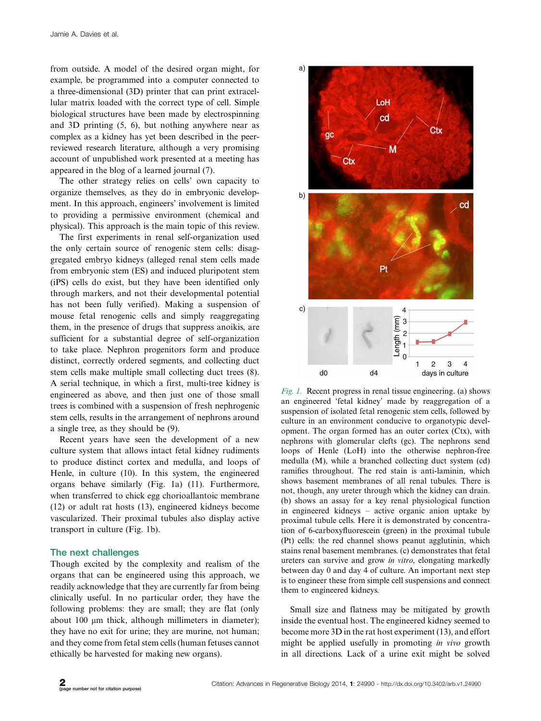from outside. A model of the desired organ might, for example, be programmed into a computer connected to a three-dimensional (3D) printer that can print extracellular matrix loaded with the correct type of cell. Simple biological structures have been made by electrospinning and 3D printing (5, 6), but nothing anywhere near as complex as a kidney has yet been described in the peerreviewed research literature, although a very promising account of unpublished work presented at a meeting has appeared in the blog of a learned journal (7).

The other strategy relies on cells' own capacity to organize themselves, as they do in embryonic development. In this approach, engineers' involvement is limited to providing a permissive environment (chemical and physical). This approach is the main topic of this review.

The first experiments in renal self-organization used the only certain source of renogenic stem cells: disaggregated embryo kidneys (alleged renal stem cells made from embryonic stem (ES) and induced pluripotent stem (iPS) cells do exist, but they have been identified only through markers, and not their developmental potential has not been fully verified). Making a suspension of mouse fetal renogenic cells and simply reaggregating them, in the presence of drugs that suppress anoikis, are sufficient for a substantial degree of self-organization to take place. Nephron progenitors form and produce distinct, correctly ordered segments, and collecting duct stem cells make multiple small collecting duct trees (8). A serial technique, in which a first, multi-tree kidney is engineered as above, and then just one of those small trees is combined with a suspension of fresh nephrogenic stem cells, results in the arrangement of nephrons around a single tree, as they should be (9).

Recent years have seen the development of a new culture system that allows intact fetal kidney rudiments to produce distinct cortex and medulla, and loops of Henle, in culture (10). In this system, the engineered organs behave similarly (Fig. 1a) (11). Furthermore, when transferred to chick egg chorioallantoic membrane (12) or adult rat hosts (13), engineered kidneys become vascularized. Their proximal tubules also display active transport in culture (Fig. 1b).

#### The next challenges

Though excited by the complexity and realism of the organs that can be engineered using this approach, we readily acknowledge that they are currently far from being clinically useful. In no particular order, they have the following problems: they are small; they are flat (only about 100  $\mu$ m thick, although millimeters in diameter); they have no exit for urine; they are murine, not human; and they come from fetal stem cells (human fetuses cannot ethically be harvested for making new organs).



Fig. 1. Recent progress in renal tissue engineering. (a) shows an engineered 'fetal kidney' made by reaggregation of a suspension of isolated fetal renogenic stem cells, followed by culture in an environment conducive to organotypic development. The organ formed has an outer cortex (Ctx), with nephrons with glomerular clefts (gc). The nephrons send loops of Henle (LoH) into the otherwise nephron-free medulla (M), while a branched collecting duct system (cd) ramifies throughout. The red stain is anti-laminin, which shows basement membranes of all renal tubules. There is not, though, any ureter through which the kidney can drain. (b) shows an assay for a key renal physiological function in engineered kidneys - active organic anion uptake by proximal tubule cells. Here it is demonstrated by concentration of 6-carboxyfluorescein (green) in the proximal tubule (Pt) cells: the red channel shows peanut agglutinin, which stains renal basement membranes. (c) demonstrates that fetal ureters can survive and grow in vitro, elongating markedly between day 0 and day 4 of culture. An important next step is to engineer these from simple cell suspensions and connect them to engineered kidneys.

Small size and flatness may be mitigated by growth inside the eventual host. The engineered kidney seemed to become more 3D in the rat host experiment (13), and effort might be applied usefully in promoting in vivo growth in all directions. Lack of a urine exit might be solved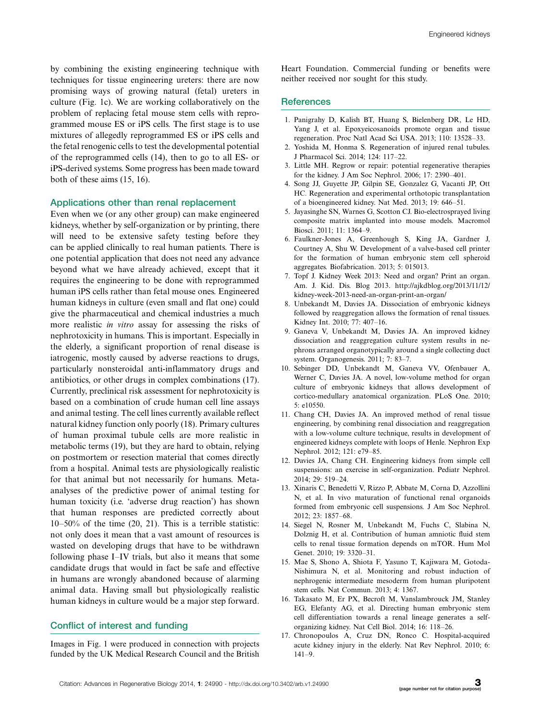by combining the existing engineering technique with techniques for tissue engineering ureters: there are now promising ways of growing natural (fetal) ureters in culture (Fig. 1c). We are working collaboratively on the problem of replacing fetal mouse stem cells with reprogrammed mouse ES or iPS cells. The first stage is to use mixtures of allegedly reprogrammed ES or iPS cells and the fetal renogenic cells to test the developmental potential of the reprogrammed cells (14), then to go to all ES- or iPS-derived systems. Some progress has been made toward both of these aims (15, 16).

#### Applications other than renal replacement

Even when we (or any other group) can make engineered kidneys, whether by self-organization or by printing, there will need to be extensive safety testing before they can be applied clinically to real human patients. There is one potential application that does not need any advance beyond what we have already achieved, except that it requires the engineering to be done with reprogrammed human iPS cells rather than fetal mouse ones. Engineered human kidneys in culture (even small and flat one) could give the pharmaceutical and chemical industries a much more realistic *in vitro* assay for assessing the risks of nephrotoxicity in humans. This is important. Especially in the elderly, a significant proportion of renal disease is iatrogenic, mostly caused by adverse reactions to drugs, particularly nonsteroidal anti-inflammatory drugs and antibiotics, or other drugs in complex combinations (17). Currently, preclinical risk assessment for nephrotoxicity is based on a combination of crude human cell line assays and animal testing. The cell lines currently available reflect natural kidney function only poorly (18). Primary cultures of human proximal tubule cells are more realistic in metabolic terms (19), but they are hard to obtain, relying on postmortem or resection material that comes directly from a hospital. Animal tests are physiologically realistic for that animal but not necessarily for humans. Metaanalyses of the predictive power of animal testing for human toxicity (i.e. 'adverse drug reaction') has shown that human responses are predicted correctly about 10-50% of the time (20, 21). This is a terrible statistic: not only does it mean that a vast amount of resources is wasted on developing drugs that have to be withdrawn following phase I-IV trials, but also it means that some candidate drugs that would in fact be safe and effective in humans are wrongly abandoned because of alarming animal data. Having small but physiologically realistic human kidneys in culture would be a major step forward.

#### Conflict of interest and funding

Images in Fig. 1 were produced in connection with projects funded by the UK Medical Research Council and the British

Heart Foundation. Commercial funding or benefits were neither received nor sought for this study.

#### **References**

- 1. Panigrahy D, Kalish BT, Huang S, Bielenberg DR, Le HD, Yang J, et al. Epoxyeicosanoids promote organ and tissue regeneration. Proc Natl Acad Sci USA. 2013; 110: 13528-33.
- 2. Yoshida M, Honma S. Regeneration of injured renal tubules. J Pharmacol Sci. 2014; 124: 117-22.
- 3. Little MH. Regrow or repair: potential regenerative therapies for the kidney. J Am Soc Nephrol. 2006; 17: 2390-401.
- 4. Song JJ, Guyette JP, Gilpin SE, Gonzalez G, Vacanti JP, Ott HC. Regeneration and experimental orthotopic transplantation of a bioengineered kidney. Nat Med. 2013; 19: 646-51.
- 5. Jayasinghe SN, Warnes G, Scotton CJ. Bio-electrosprayed living composite matrix implanted into mouse models. Macromol Biosci. 2011; 11: 1364-9.
- 6. Faulkner-Jones A, Greenhough S, King JA, Gardner J, Courtney A, Shu W. Development of a valve-based cell printer for the formation of human embryonic stem cell spheroid aggregates. Biofabrication. 2013; 5: 015013.
- 7. Topf J. Kidney Week 2013: Need and organ? Print an organ. Am. J. Kid. Dis. Blog 2013. [http://ajkdblog.org/2013/11/12/](http://ajkdblog.org/2013/11/12/kidney-week-2013-need-an-organ-print-an-organ/) [kidney-week-2013-need-an-organ-print-an-organ/](http://ajkdblog.org/2013/11/12/kidney-week-2013-need-an-organ-print-an-organ/)
- 8. Unbekandt M, Davies JA. Dissociation of embryonic kidneys followed by reaggregation allows the formation of renal tissues. Kidney Int. 2010; 77: 407-16.
- 9. Ganeva V, Unbekandt M, Davies JA. An improved kidney dissociation and reaggregation culture system results in nephrons arranged organotypically around a single collecting duct system. Organogenesis. 2011; 7: 83-7.
- 10. Sebinger DD, Unbekandt M, Ganeva VV, Ofenbauer A, Werner C, Davies JA. A novel, low-volume method for organ culture of embryonic kidneys that allows development of cortico-medullary anatomical organization. PLoS One. 2010; 5: e10550.
- 11. Chang CH, Davies JA. An improved method of renal tissue engineering, by combining renal dissociation and reaggregation with a low-volume culture technique, results in development of engineered kidneys complete with loops of Henle. Nephron Exp Nephrol. 2012; 121: e79-85.
- 12. Davies JA, Chang CH. Engineering kidneys from simple cell suspensions: an exercise in self-organization. Pediatr Nephrol. 2014; 29: 519-24.
- 13. Xinaris C, Benedetti V, Rizzo P, Abbate M, Corna D, Azzollini N, et al. In vivo maturation of functional renal organoids formed from embryonic cell suspensions. J Am Soc Nephrol. 2012; 23: 1857-68.
- 14. Siegel N, Rosner M, Unbekandt M, Fuchs C, Slabina N, Dolznig H, et al. Contribution of human amniotic fluid stem cells to renal tissue formation depends on mTOR. Hum Mol Genet. 2010; 19: 3320-31.
- 15. Mae S, Shono A, Shiota F, Yasuno T, Kajiwara M, Gotoda-Nishimura N, et al. Monitoring and robust induction of nephrogenic intermediate mesoderm from human pluripotent stem cells. Nat Commun. 2013; 4: 1367.
- 16. Takasato M, Er PX, Becroft M, Vanslambrouck JM, Stanley EG, Elefanty AG, et al. Directing human embryonic stem cell differentiation towards a renal lineage generates a selforganizing kidney. Nat Cell Biol. 2014; 16: 118-26.
- 17. Chronopoulos A, Cruz DN, Ronco C. Hospital-acquired acute kidney injury in the elderly. Nat Rev Nephrol. 2010; 6: 141-9.